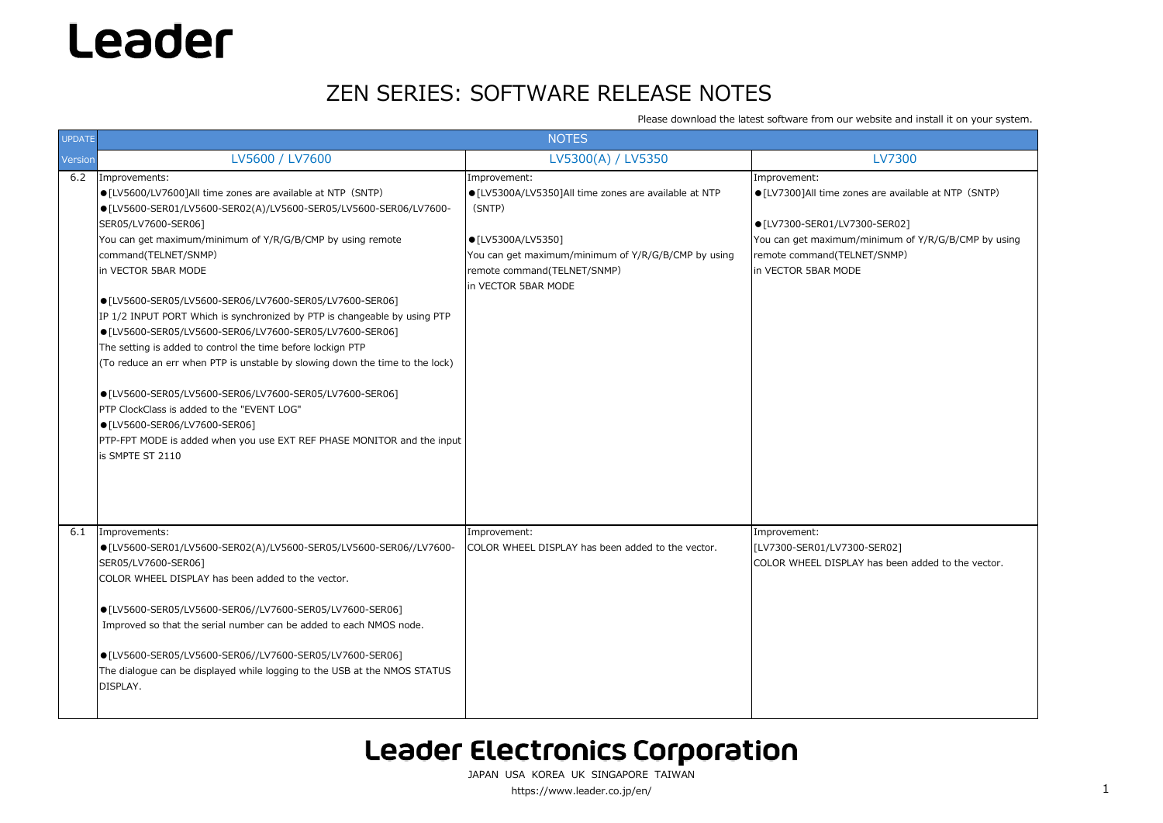Please download the latest software from our website and install it on your system.

 $ER02]$ COLOR WHEEL DISPLAY has been added to the vector.

JAPAN USA KOREA UK SINGAPORE TAIWANhttps://www.leader.co.jp/en/ 1

are available at NTP (SNTP)

 $-$ SER02] imum of Y/R/G/B/CMP by using /SNMP)

| UPDATE  |                                                                                                                                                                                                                                                                                                                                                                                                                                                                                                                                                                                                                                                                                                                                                                                                                                                                                 | <b>NOTES</b>                                                                                                                                                                                                       |                                                                                                                                                                                      |
|---------|---------------------------------------------------------------------------------------------------------------------------------------------------------------------------------------------------------------------------------------------------------------------------------------------------------------------------------------------------------------------------------------------------------------------------------------------------------------------------------------------------------------------------------------------------------------------------------------------------------------------------------------------------------------------------------------------------------------------------------------------------------------------------------------------------------------------------------------------------------------------------------|--------------------------------------------------------------------------------------------------------------------------------------------------------------------------------------------------------------------|--------------------------------------------------------------------------------------------------------------------------------------------------------------------------------------|
| Version | LV5600 / LV7600                                                                                                                                                                                                                                                                                                                                                                                                                                                                                                                                                                                                                                                                                                                                                                                                                                                                 | LV5300(A) / LV5350                                                                                                                                                                                                 | <b>LV7300</b>                                                                                                                                                                        |
| 6.2     | Improvements:<br>• [LV5600/LV7600]All time zones are available at NTP (SNTP)<br>● [LV5600-SER01/LV5600-SER02(A)/LV5600-SER05/LV5600-SER06/LV7600-<br>SER05/LV7600-SER06]<br>You can get maximum/minimum of Y/R/G/B/CMP by using remote<br>command(TELNET/SNMP)<br>in VECTOR 5BAR MODE<br>● [LV5600-SER05/LV5600-SER06/LV7600-SER05/LV7600-SER06]<br>IP 1/2 INPUT PORT Which is synchronized by PTP is changeable by using PTP<br>● [LV5600-SER05/LV5600-SER06/LV7600-SER05/LV7600-SER06]<br>The setting is added to control the time before lockign PTP<br>(To reduce an err when PTP is unstable by slowing down the time to the lock)<br>● [LV5600-SER05/LV5600-SER06/LV7600-SER05/LV7600-SER06]<br>PTP ClockClass is added to the "EVENT LOG"<br>● [LV5600-SER06/LV7600-SER06]<br>PTP-FPT MODE is added when you use EXT REF PHASE MONITOR and the input<br>is SMPTE ST 2110 | Improvement:<br>● [LV5300A/LV5350]All time zones are available at NTP<br>(SNTP)<br>● [LV5300A/LV5350]<br>You can get maximum/minimum of Y/R/G/B/CMP by using<br>remote command(TELNET/SNMP)<br>in VECTOR 5BAR MODE | Improvement:<br>● [LV7300]All time zones are availa<br>$\bullet$ [LV7300-SER01/LV7300-SER02]<br>You can get maximum/minimum of<br>remote command(TELNET/SNMP)<br>in VECTOR 5BAR MODE |
| 6.1     | Improvements:<br>● [LV5600-SER01/LV5600-SER02(A)/LV5600-SER05/LV5600-SER06//LV7600-<br>SER05/LV7600-SER06]<br>COLOR WHEEL DISPLAY has been added to the vector.<br>● [LV5600-SER05/LV5600-SER06//LV7600-SER05/LV7600-SER06]<br>Improved so that the serial number can be added to each NMOS node.<br>● [LV5600-SER05/LV5600-SER06//LV7600-SER05/LV7600-SER06]<br>The dialogue can be displayed while logging to the USB at the NMOS STATUS<br>DISPLAY.                                                                                                                                                                                                                                                                                                                                                                                                                          | Improvement:<br>COLOR WHEEL DISPLAY has been added to the vector.                                                                                                                                                  | Improvement:<br>[LV7300-SER01/LV7300-SER02]<br>ICOLOR WHEEL DISPLAY has been a                                                                                                       |

### **Leader Electronics Corporation**

## Leader

### ZEN SERIES: SOFTWARE RELEASE NOTES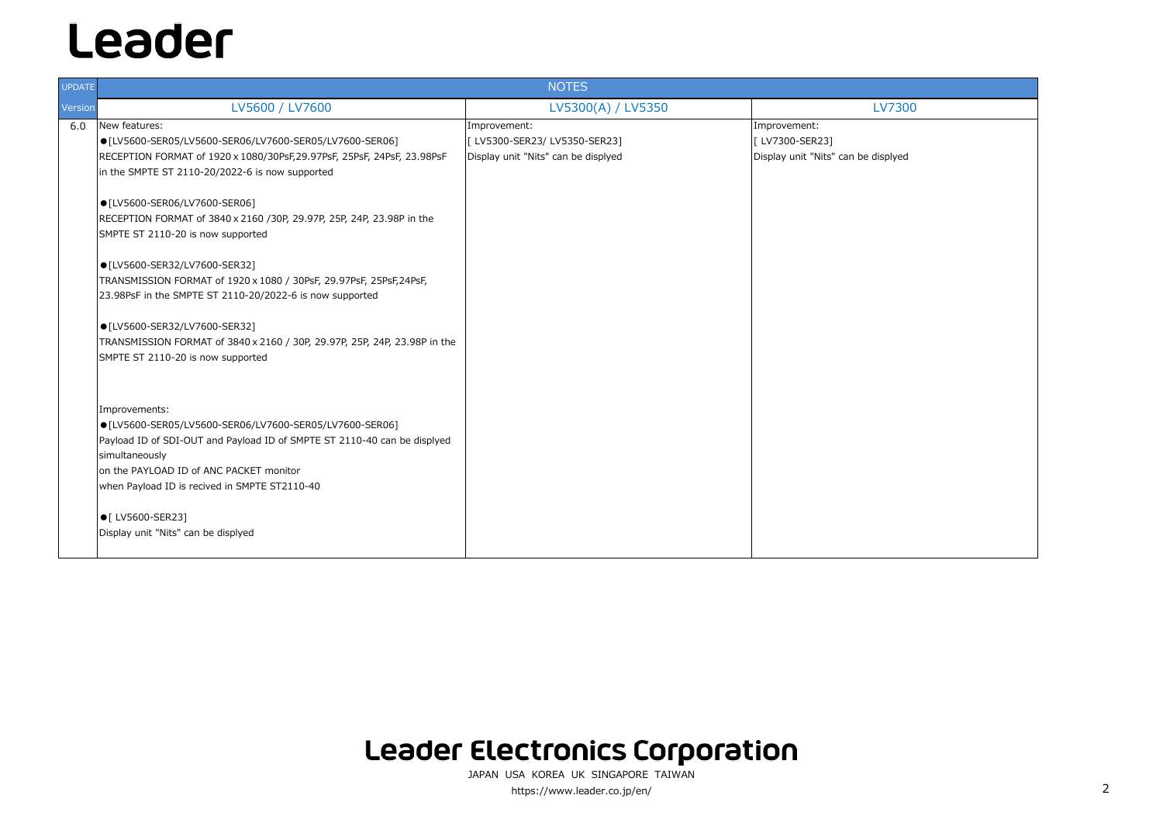| <b>UPDATE</b> |                                                                                                                                                                                                                                                                    | <b>NOTES</b>                                                                       |                                                                        |
|---------------|--------------------------------------------------------------------------------------------------------------------------------------------------------------------------------------------------------------------------------------------------------------------|------------------------------------------------------------------------------------|------------------------------------------------------------------------|
| Version       | LV5600 / LV7600                                                                                                                                                                                                                                                    | LV5300(A) / LV5350                                                                 | <b>LV7300</b>                                                          |
| 6.0           | New features:<br>● [LV5600-SER05/LV5600-SER06/LV7600-SER05/LV7600-SER06]<br>RECEPTION FORMAT of 1920 x 1080/30PsF,29.97PsF, 25PsF, 24PsF, 23.98PsF<br>in the SMPTE ST 2110-20/2022-6 is now supported                                                              | Improvement:<br>[LV5300-SER23/LV5350-SER23]<br>Display unit "Nits" can be displyed | Improvement:<br>[ LV7300-SER23]<br>Display unit "Nits" can be displyed |
|               | ● [LV5600-SER06/LV7600-SER06]<br>RECEPTION FORMAT of 3840 x 2160 / 30P, 29.97P, 25P, 24P, 23.98P in the<br>SMPTE ST 2110-20 is now supported                                                                                                                       |                                                                                    |                                                                        |
|               | ● [LV5600-SER32/LV7600-SER32]<br>TRANSMISSION FORMAT of 1920 x 1080 / 30PsF, 29.97PsF, 25PsF, 24PsF,<br>23.98PsF in the SMPTE ST 2110-20/2022-6 is now supported                                                                                                   |                                                                                    |                                                                        |
|               | ● [LV5600-SER32/LV7600-SER32]<br>TRANSMISSION FORMAT of 3840 x 2160 / 30P, 29.97P, 25P, 24P, 23.98P in the<br>SMPTE ST 2110-20 is now supported                                                                                                                    |                                                                                    |                                                                        |
|               | Improvements:<br>● [LV5600-SER05/LV5600-SER06/LV7600-SER05/LV7600-SER06]<br>Payload ID of SDI-OUT and Payload ID of SMPTE ST 2110-40 can be displyed<br>simultaneously<br>on the PAYLOAD ID of ANC PACKET monitor<br>when Payload ID is recived in SMPTE ST2110-40 |                                                                                    |                                                                        |
|               | ● [ LV5600-SER23]<br>Display unit "Nits" can be displyed                                                                                                                                                                                                           |                                                                                    |                                                                        |

### Leader Electronics Corporation

JAPAN USA KOREA UK SINGAPORE TAIWAN https://www.leader.co.jp/en/ <sup>2</sup>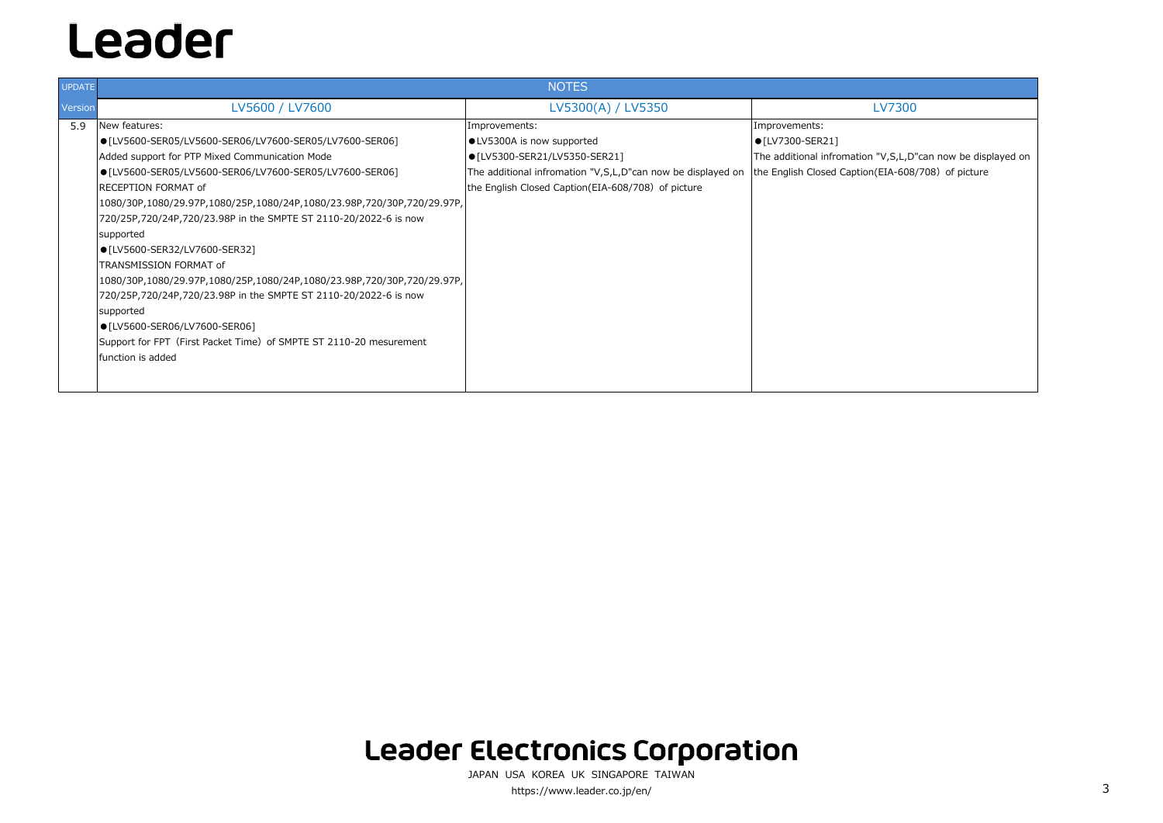| <b>UPDATE</b>  | <b>NOTES</b>                                                                                                                                                                                                                                                                                                                                                                                                                                |                                                                                                                                                                                                   |                                                                                                                             |
|----------------|---------------------------------------------------------------------------------------------------------------------------------------------------------------------------------------------------------------------------------------------------------------------------------------------------------------------------------------------------------------------------------------------------------------------------------------------|---------------------------------------------------------------------------------------------------------------------------------------------------------------------------------------------------|-----------------------------------------------------------------------------------------------------------------------------|
|                | LV5600 / LV7600                                                                                                                                                                                                                                                                                                                                                                                                                             | LV5300(A) / LV5350                                                                                                                                                                                | LV7300                                                                                                                      |
| Version<br>5.9 | New features:<br>● [LV5600-SER05/LV5600-SER06/LV7600-SER05/LV7600-SER06]<br>Added support for PTP Mixed Communication Mode<br>● [LV5600-SER05/LV5600-SER06/LV7600-SER05/LV7600-SER06]<br><b>IRECEPTION FORMAT of</b><br> 1080/30P,1080/29.97P,1080/25P,1080/24P,1080/23.98P,720/30P,720/29.97P,<br>720/25P,720/24P,720/23.98P in the SMPTE ST 2110-20/2022-6 is now<br>supported<br>● [LV5600-SER32/LV7600-SER32]<br>TRANSMISSION FORMAT of | Improvements:<br>·LV5300A is now supported<br>● [LV5300-SER21/LV5350-SER21]<br>The additional infromation "V,S,L,D"can now be displayed on<br>the English Closed Caption (EIA-608/708) of picture | Improvements:<br>$\bullet$ [LV7300-SER21]<br>The additional infromation "V, S, L, D'<br>the English Closed Caption (EIA-608 |
|                | 1080/30P,1080/29.97P,1080/25P,1080/24P,1080/23.98P,720/30P,720/29.97P,<br>720/25P,720/24P,720/23.98P in the SMPTE ST 2110-20/2022-6 is now<br>supported<br>● [LV5600-SER06/LV7600-SER06]<br>Support for FPT (First Packet Time) of SMPTE ST 2110-20 mesurement<br><b>Ifunction is added</b>                                                                                                                                                 |                                                                                                                                                                                                   |                                                                                                                             |

### **Leader Electronics Corporation**

JAPAN USA KOREA UK SINGAPORE TAIWAN https://www.leader.co.jp/en/ 3

"V,S,L,D"can now be displayed on  $EIA-608/708$  of picture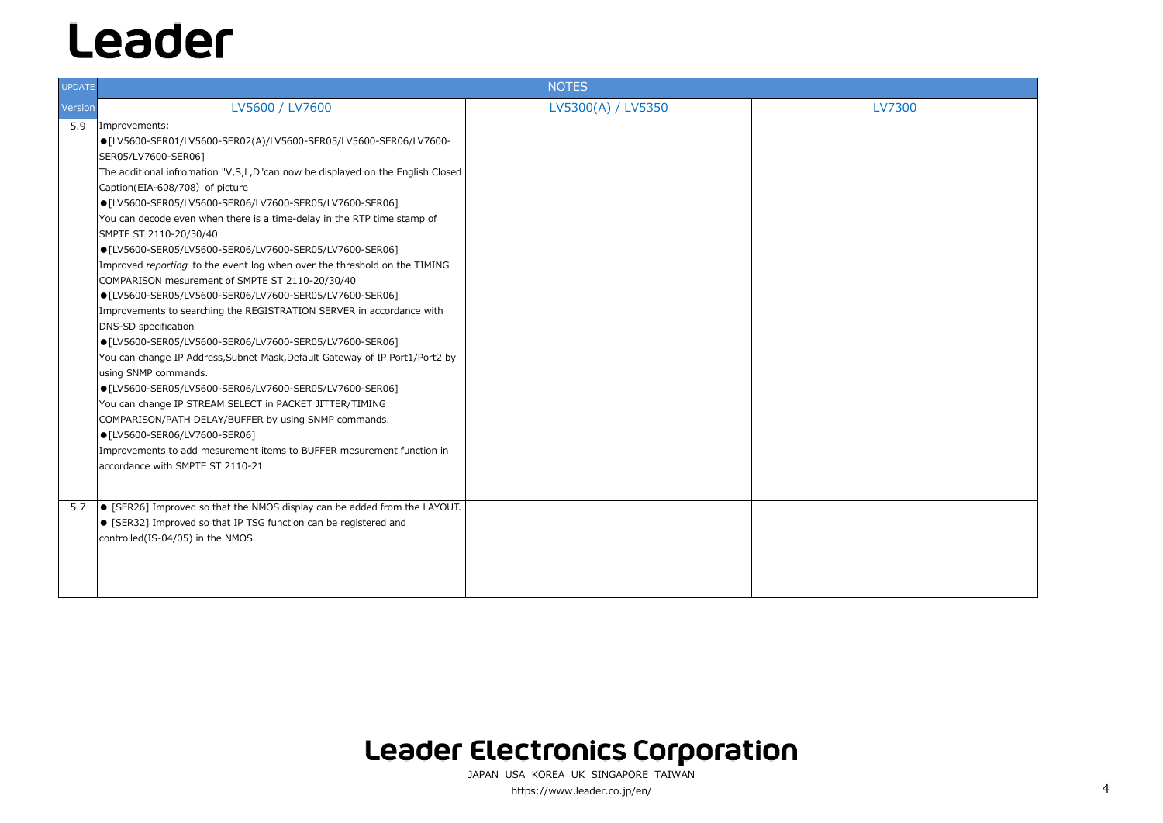| <b>UPDATE</b> |                                                                                   | <b>NOTES</b>       |               |
|---------------|-----------------------------------------------------------------------------------|--------------------|---------------|
| Version       | LV5600 / LV7600                                                                   | LV5300(A) / LV5350 | <b>LV7300</b> |
| 5.9           | Improvements:                                                                     |                    |               |
|               | ● [LV5600-SER01/LV5600-SER02(A)/LV5600-SER05/LV5600-SER06/LV7600-                 |                    |               |
|               | SER05/LV7600-SER06]                                                               |                    |               |
|               | The additional infromation "V,S,L,D"can now be displayed on the English Closed    |                    |               |
|               | Caption(EIA-608/708) of picture                                                   |                    |               |
|               | ● [LV5600-SER05/LV5600-SER06/LV7600-SER05/LV7600-SER06]                           |                    |               |
|               | You can decode even when there is a time-delay in the RTP time stamp of           |                    |               |
|               | SMPTE ST 2110-20/30/40                                                            |                    |               |
|               | ● [LV5600-SER05/LV5600-SER06/LV7600-SER05/LV7600-SER06]                           |                    |               |
|               | Improved reporting to the event log when over the threshold on the TIMING         |                    |               |
|               | COMPARISON mesurement of SMPTE ST 2110-20/30/40                                   |                    |               |
|               | ● [LV5600-SER05/LV5600-SER06/LV7600-SER05/LV7600-SER06]                           |                    |               |
|               | Improvements to searching the REGISTRATION SERVER in accordance with              |                    |               |
|               | <b>DNS-SD specification</b>                                                       |                    |               |
|               | ● [LV5600-SER05/LV5600-SER06/LV7600-SER05/LV7600-SER06]                           |                    |               |
|               | You can change IP Address, Subnet Mask, Default Gateway of IP Port1/Port2 by      |                    |               |
|               | using SNMP commands.                                                              |                    |               |
|               | ● [LV5600-SER05/LV5600-SER06/LV7600-SER05/LV7600-SER06]                           |                    |               |
|               | You can change IP STREAM SELECT in PACKET JITTER/TIMING                           |                    |               |
|               | COMPARISON/PATH DELAY/BUFFER by using SNMP commands.                              |                    |               |
|               | ● [LV5600-SER06/LV7600-SER06]                                                     |                    |               |
|               | Improvements to add mesurement items to BUFFER mesurement function in             |                    |               |
|               | accordance with SMPTE ST 2110-21                                                  |                    |               |
|               |                                                                                   |                    |               |
| 5.7           | $\bullet$ [SER26] Improved so that the NMOS display can be added from the LAYOUT. |                    |               |
|               | • [SER32] Improved so that IP TSG function can be registered and                  |                    |               |
|               | controlled(IS-04/05) in the NMOS.                                                 |                    |               |
|               |                                                                                   |                    |               |
|               |                                                                                   |                    |               |
|               |                                                                                   |                    |               |
|               |                                                                                   |                    |               |

### Leader Electronics Corporation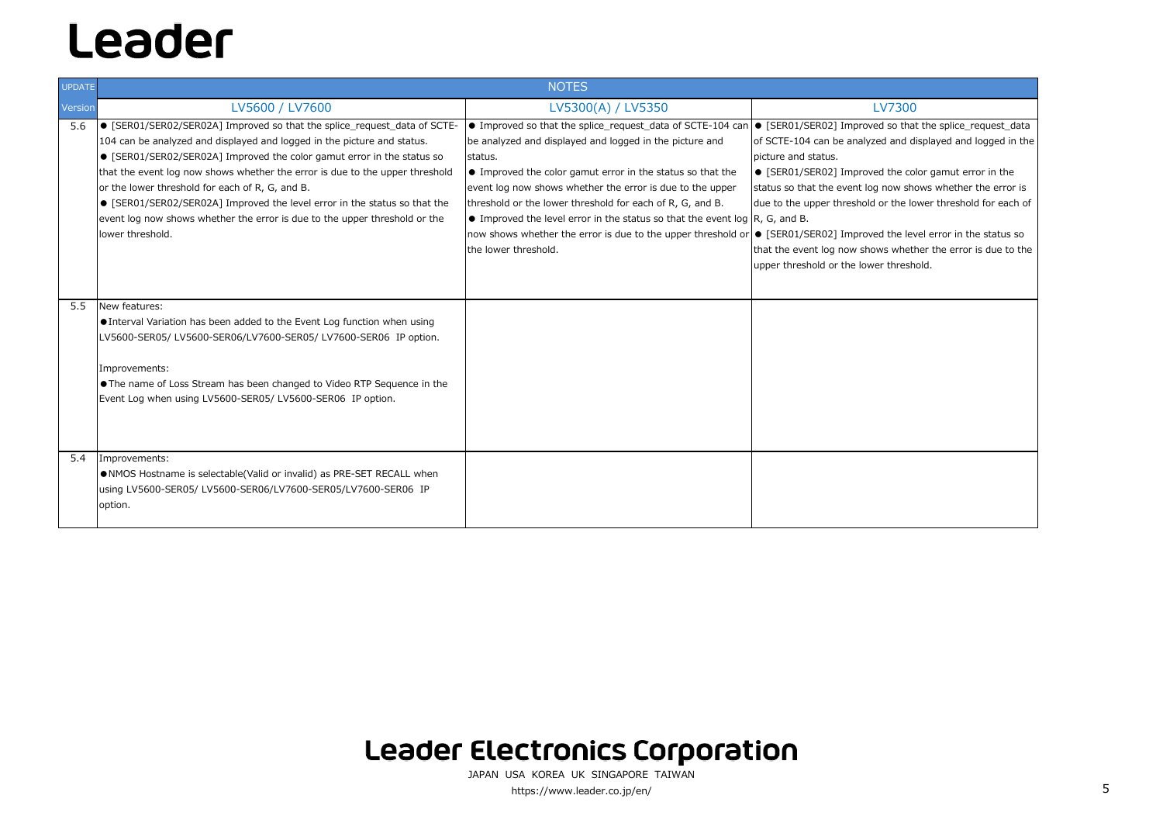| <b>UPDATE</b> | <b>NOTES</b>                                                                                                                                                                                                                                                                                                                                                                                                                                                                                                                                    |                                                                                                                                                                                                                                                                                                                                                                                                                                                                                                                                                                                      |                                                                                                                                                                                                                                                          |
|---------------|-------------------------------------------------------------------------------------------------------------------------------------------------------------------------------------------------------------------------------------------------------------------------------------------------------------------------------------------------------------------------------------------------------------------------------------------------------------------------------------------------------------------------------------------------|--------------------------------------------------------------------------------------------------------------------------------------------------------------------------------------------------------------------------------------------------------------------------------------------------------------------------------------------------------------------------------------------------------------------------------------------------------------------------------------------------------------------------------------------------------------------------------------|----------------------------------------------------------------------------------------------------------------------------------------------------------------------------------------------------------------------------------------------------------|
| Version       | LV5600 / LV7600                                                                                                                                                                                                                                                                                                                                                                                                                                                                                                                                 | LV5300(A) / LV5350                                                                                                                                                                                                                                                                                                                                                                                                                                                                                                                                                                   | <b>LV7300</b>                                                                                                                                                                                                                                            |
| 5.6           | ● [SER01/SER02/SER02A] Improved so that the splice_request_data of SCTE-<br>104 can be analyzed and displayed and logged in the picture and status.<br>• [SER01/SER02/SER02A] Improved the color gamut error in the status so<br>that the event log now shows whether the error is due to the upper threshold<br>or the lower threshold for each of R, G, and B.<br>● [SER01/SER02/SER02A] Improved the level error in the status so that the<br>event log now shows whether the error is due to the upper threshold or the<br>lower threshold. | • Improved so that the splice_request_data of SCTE-104 can • [SER01/SER02] Improved so tha<br>be analyzed and displayed and logged in the picture and<br>status.<br>• Improved the color gamut error in the status so that the<br>event log now shows whether the error is due to the upper<br>threshold or the lower threshold for each of R, G, and B.<br>$\bullet$ Improved the level error in the status so that the event log $\mathsf{R}, G$ , and B.<br>now shows whether the error is due to the upper threshold or • [SER01/SER02] Improved the lev<br>the lower threshold. | of SCTE-104 can be analyzed and d<br>picture and status.<br>• [SER01/SER02] Improved the co<br>status so that the event log now she<br>due to the upper threshold or the Ic<br>that the event log now shows whetl<br>upper threshold or the lower thresh |
| 5.5           | New features:<br>• Interval Variation has been added to the Event Log function when using<br>LV5600-SER05/LV5600-SER06/LV7600-SER05/LV7600-SER06 IP option.<br>Improvements:<br>The name of Loss Stream has been changed to Video RTP Sequence in the<br>Event Log when using LV5600-SER05/LV5600-SER06 IP option.                                                                                                                                                                                                                              |                                                                                                                                                                                                                                                                                                                                                                                                                                                                                                                                                                                      |                                                                                                                                                                                                                                                          |
| 5.4           | Improvements:<br>NMOS Hostname is selectable(Valid or invalid) as PRE-SET RECALL when<br>using LV5600-SER05/ LV5600-SER06/LV7600-SER05/LV7600-SER06 IP<br>option.                                                                                                                                                                                                                                                                                                                                                                               |                                                                                                                                                                                                                                                                                                                                                                                                                                                                                                                                                                                      |                                                                                                                                                                                                                                                          |

JAPAN USA KOREA UK SINGAPORE TAIWANhttps://www.leader.co.jp/en/ 5

### **Leader Electronics Corporation**

ed so that the splice\_request\_data ed and displayed and logged in the

ed the color gamut error in the now shows whether the error is or the lower threshold for each of

ed the level error in the status so ws whether the error is due to the er threshold.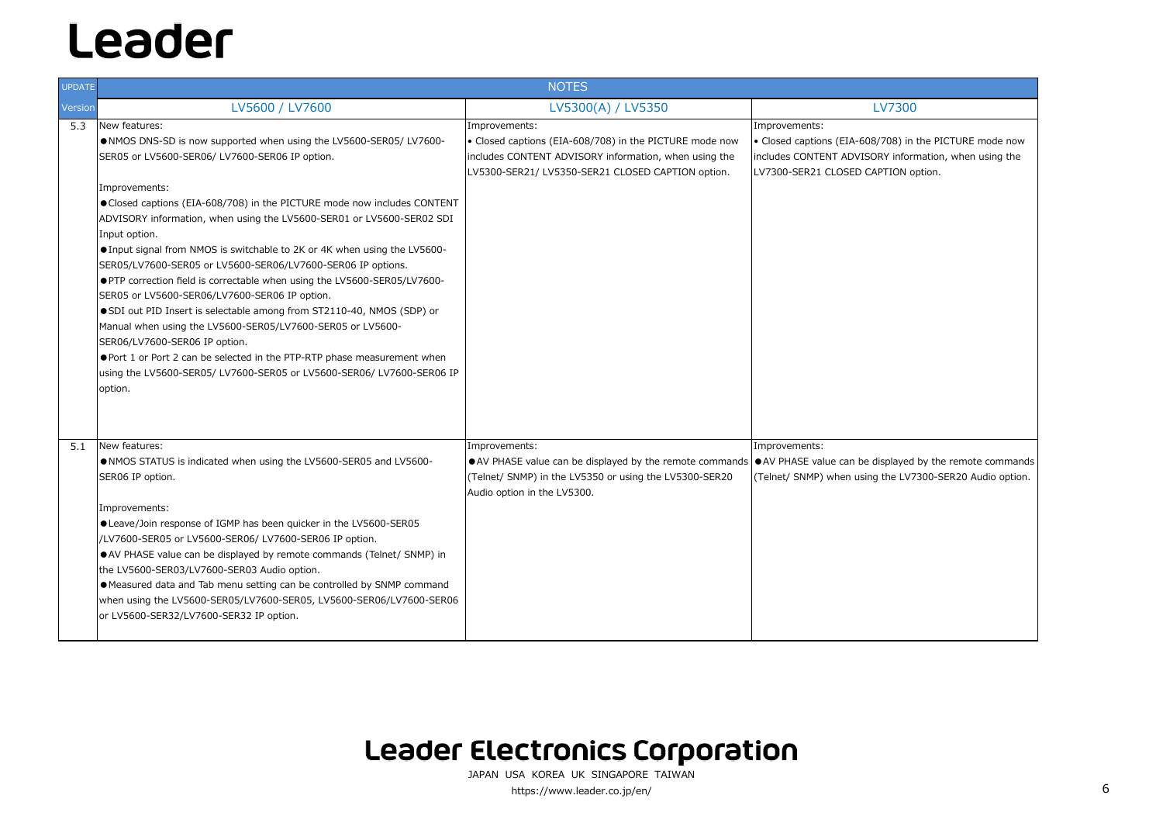| <b>UPDATE</b> | <b>NOTES</b>                                                                                                                                                                                                                                                                                                                                                                                                                                                                                                                                                                                                                                                                                                                                                                                                                                                                                                                                     |                                                                                                                                                                                                      |                                                                                                                          |
|---------------|--------------------------------------------------------------------------------------------------------------------------------------------------------------------------------------------------------------------------------------------------------------------------------------------------------------------------------------------------------------------------------------------------------------------------------------------------------------------------------------------------------------------------------------------------------------------------------------------------------------------------------------------------------------------------------------------------------------------------------------------------------------------------------------------------------------------------------------------------------------------------------------------------------------------------------------------------|------------------------------------------------------------------------------------------------------------------------------------------------------------------------------------------------------|--------------------------------------------------------------------------------------------------------------------------|
| Version       | LV5600 / LV7600                                                                                                                                                                                                                                                                                                                                                                                                                                                                                                                                                                                                                                                                                                                                                                                                                                                                                                                                  | LV5300(A) / LV5350                                                                                                                                                                                   | <b>LV7300</b>                                                                                                            |
| 5.3           | New features:<br>. NMOS DNS-SD is now supported when using the LV5600-SER05/ LV7600-<br>SER05 or LV5600-SER06/ LV7600-SER06 IP option.<br>Improvements:<br>● Closed captions (EIA-608/708) in the PICTURE mode now includes CONTENT<br>ADVISORY information, when using the LV5600-SER01 or LV5600-SER02 SDI<br>Input option.<br>● Input signal from NMOS is switchable to 2K or 4K when using the LV5600-<br>SER05/LV7600-SER05 or LV5600-SER06/LV7600-SER06 IP options.<br>● PTP correction field is correctable when using the LV5600-SER05/LV7600-<br>SER05 or LV5600-SER06/LV7600-SER06 IP option.<br>● SDI out PID Insert is selectable among from ST2110-40, NMOS (SDP) or<br>Manual when using the LV5600-SER05/LV7600-SER05 or LV5600-<br>SER06/LV7600-SER06 IP option.<br>● Port 1 or Port 2 can be selected in the PTP-RTP phase measurement when<br>using the LV5600-SER05/ LV7600-SER05 or LV5600-SER06/ LV7600-SER06 IP<br>option. | Improvements:<br>• Closed captions (EIA-608/708) in the PICTURE mode now<br>includes CONTENT ADVISORY information, when using the<br>LV5300-SER21/ LV5350-SER21 CLOSED CAPTION option.               | Improvements:<br>• Closed captions (EIA-608/708) in<br>includes CONTENT ADVISORY inforr<br>LV7300-SER21 CLOSED CAPTION o |
| 5.1           | New features:<br>. NMOS STATUS is indicated when using the LV5600-SER05 and LV5600-<br>SER06 IP option.<br>Improvements:<br>● Leave/Join response of IGMP has been quicker in the LV5600-SER05<br>/LV7600-SER05 or LV5600-SER06/ LV7600-SER06 IP option.<br>• AV PHASE value can be displayed by remote commands (Telnet/ SNMP) in<br>the LV5600-SER03/LV7600-SER03 Audio option.<br>• Measured data and Tab menu setting can be controlled by SNMP command<br>when using the LV5600-SER05/LV7600-SER05, LV5600-SER06/LV7600-SER06<br>or LV5600-SER32/LV7600-SER32 IP option.                                                                                                                                                                                                                                                                                                                                                                    | Improvements:<br>• AV PHASE value can be displayed by the remote commands • AV PHASE value can be displayed<br>(Telnet/ SNMP) in the LV5350 or using the LV5300-SER20<br>Audio option in the LV5300. | Improvements:<br>(Telnet/ SNMP) when using the LV7                                                                       |

## Leader Electronics Corporation

JAPAN USA KOREA UK SINGAPORE TAIWAN https://www.leader.co.jp/en/ 6

8/708) in the PICTURE mode now Information, when using the **APTION** option.

displayed by the remote commands the LV7300-SER20 Audio option.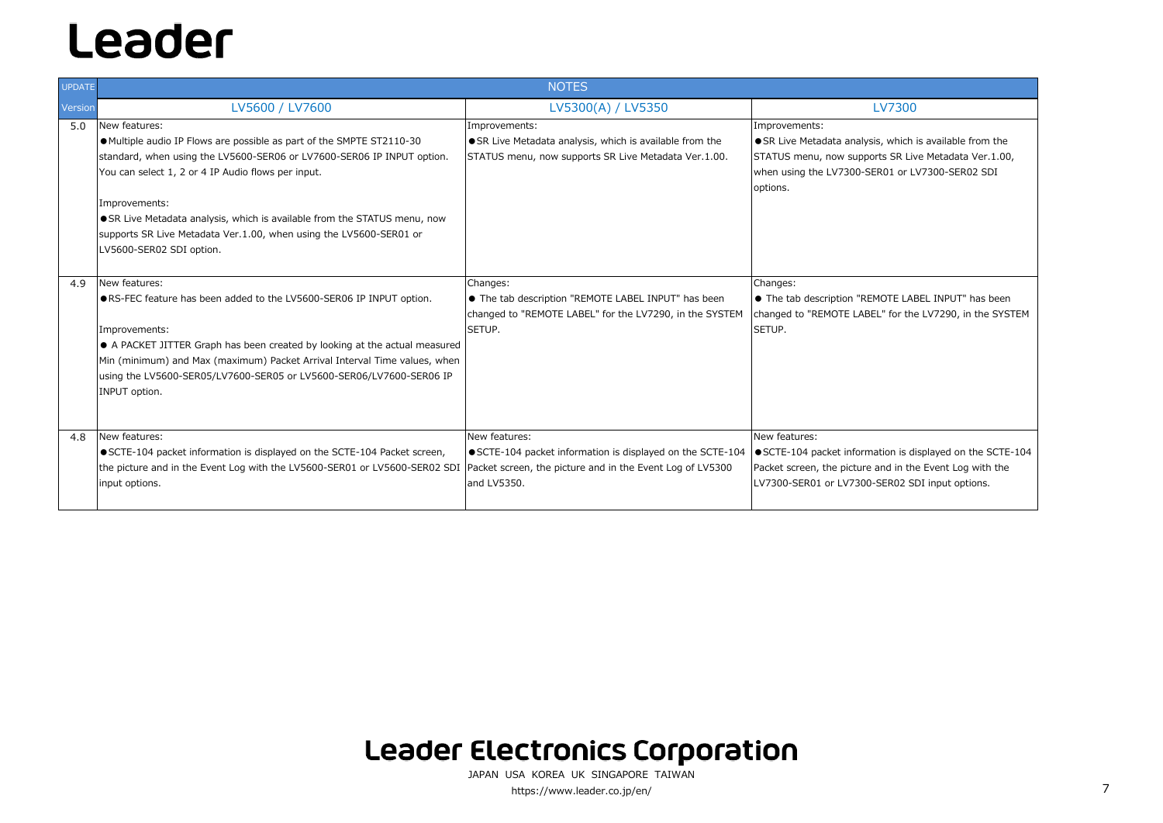| <b>UPDATE</b>  | <b>NOTES</b>                                                                                                                                                                                                                                                                                                                                                                                                         |                                                                                                                                      |                                                                                                                                         |
|----------------|----------------------------------------------------------------------------------------------------------------------------------------------------------------------------------------------------------------------------------------------------------------------------------------------------------------------------------------------------------------------------------------------------------------------|--------------------------------------------------------------------------------------------------------------------------------------|-----------------------------------------------------------------------------------------------------------------------------------------|
| <b>Version</b> | LV5600 / LV7600                                                                                                                                                                                                                                                                                                                                                                                                      | LV5300(A) / LV5350                                                                                                                   | <b>LV7300</b>                                                                                                                           |
| 5.0            | New features:<br>● Multiple audio IP Flows are possible as part of the SMPTE ST2110-30<br>standard, when using the LV5600-SER06 or LV7600-SER06 IP INPUT option.<br>You can select 1, 2 or 4 IP Audio flows per input.<br>Improvements:<br>SR Live Metadata analysis, which is available from the STATUS menu, now<br>supports SR Live Metadata Ver.1.00, when using the LV5600-SER01 or<br>LV5600-SER02 SDI option. | Improvements:<br>● SR Live Metadata analysis, which is available from the<br>STATUS menu, now supports SR Live Metadata Ver.1.00.    | Improvements:<br>● SR Live Metadata analysis, which<br>STATUS menu, now supports SR Liv<br>when using the LV7300-SER01 or L<br>options. |
| 4.9            | New features:<br>● RS-FEC feature has been added to the LV5600-SER06 IP INPUT option.<br>Improvements:<br>A PACKET JITTER Graph has been created by looking at the actual measured<br>Min (minimum) and Max (maximum) Packet Arrival Interval Time values, when<br>using the LV5600-SER05/LV7600-SER05 or LV5600-SER06/LV7600-SER06 IP<br>INPUT option.                                                              | Changes:<br>• The tab description "REMOTE LABEL INPUT" has been<br>changed to "REMOTE LABEL" for the LV7290, in the SYSTEM<br>SETUP. | Changes:<br>• The tab description "REMOTE LAI<br>changed to "REMOTE LABEL" for the<br>SETUP.                                            |
| 4.8            | New features:<br>● SCTE-104 packet information is displayed on the SCTE-104 Packet screen,<br>the picture and in the Event Log with the LV5600-SER01 or LV5600-SER02 SDI Packet screen, the picture and in the Event Log of LV5300<br>input options.                                                                                                                                                                 | New features:<br>● SCTE-104 packet information is displayed on the SCTE-104<br>and LV5350.                                           | New features:<br>SCTE-104 packet information is d<br>Packet screen, the picture and in th<br>LV7300-SER01 or LV7300-SER02 SI            |

### **Leader Electronics Corporation**

JAPAN USA KOREA UK SINGAPORE TAIWANhttps://www.leader.co.jp/en/ 7

s, which is available from the rts SR Live Metadata Ver.1.00, R01 or LV7300-SER02 SDI

1OTE LABEL INPUT" has been L" for the LV7290, in the SYSTEM

ation is displayed on the SCTE-104 and in the Event Log with the SER02 SDI input options.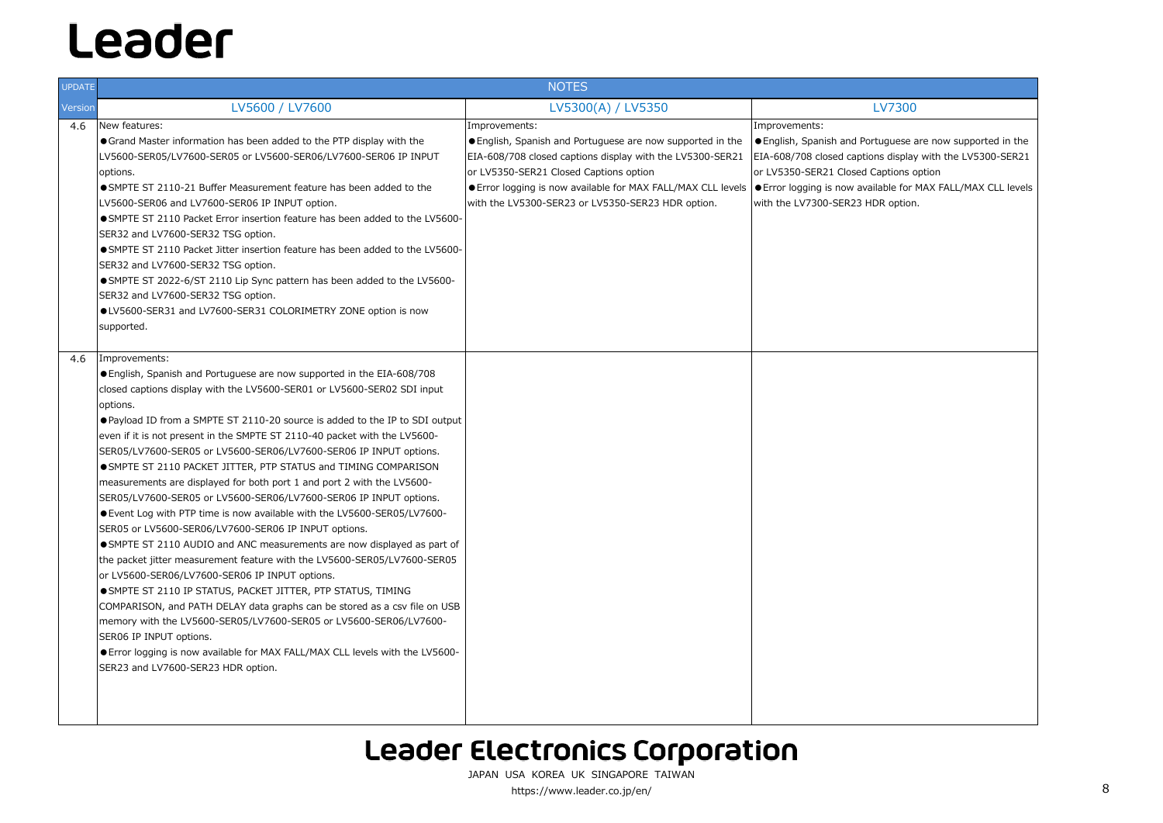| <b>UPDATE</b> |                                                                                                                                                                                                                                                                                                                                                                                                                                                                                                                                                                                                                                                                                                                                                                                                                                                                                                                                                                                                                                                                                                                                                                                                                                                                                                                                    | <b>NOTES</b>                                                                                                                                                                                                                                                                                            |                                                                                                                                                                                                                      |
|---------------|------------------------------------------------------------------------------------------------------------------------------------------------------------------------------------------------------------------------------------------------------------------------------------------------------------------------------------------------------------------------------------------------------------------------------------------------------------------------------------------------------------------------------------------------------------------------------------------------------------------------------------------------------------------------------------------------------------------------------------------------------------------------------------------------------------------------------------------------------------------------------------------------------------------------------------------------------------------------------------------------------------------------------------------------------------------------------------------------------------------------------------------------------------------------------------------------------------------------------------------------------------------------------------------------------------------------------------|---------------------------------------------------------------------------------------------------------------------------------------------------------------------------------------------------------------------------------------------------------------------------------------------------------|----------------------------------------------------------------------------------------------------------------------------------------------------------------------------------------------------------------------|
| Version       | LV5600 / LV7600                                                                                                                                                                                                                                                                                                                                                                                                                                                                                                                                                                                                                                                                                                                                                                                                                                                                                                                                                                                                                                                                                                                                                                                                                                                                                                                    | LV5300(A) / LV5350                                                                                                                                                                                                                                                                                      | <b>LV7300</b>                                                                                                                                                                                                        |
| 4.6<br>4.6    | New features:<br>• Grand Master information has been added to the PTP display with the<br>LV5600-SER05/LV7600-SER05 or LV5600-SER06/LV7600-SER06 IP INPUT<br>options.<br>• SMPTE ST 2110-21 Buffer Measurement feature has been added to the<br>LV5600-SER06 and LV7600-SER06 IP INPUT option.<br>• SMPTE ST 2110 Packet Error insertion feature has been added to the LV5600-<br>SER32 and LV7600-SER32 TSG option.<br>• SMPTE ST 2110 Packet Jitter insertion feature has been added to the LV5600-<br>SER32 and LV7600-SER32 TSG option.<br>• SMPTE ST 2022-6/ST 2110 Lip Sync pattern has been added to the LV5600-<br>SER32 and LV7600-SER32 TSG option.<br>●LV5600-SER31 and LV7600-SER31 COLORIMETRY ZONE option is now<br>supported.<br>Improvements:                                                                                                                                                                                                                                                                                                                                                                                                                                                                                                                                                                      | Improvements:<br>● English, Spanish and Portuguese are now supported in the<br>EIA-608/708 closed captions display with the LV5300-SER21<br>or LV5350-SER21 Closed Captions option<br>● Error logging is now available for MAX FALL/MAX CLL levels<br>with the LV5300-SER23 or LV5350-SER23 HDR option. | Improvements:<br>● English, Spanish and Portuguese a<br>EIA-608/708 closed captions display<br>or LV5350-SER21 Closed Captions o<br>$\bullet$ Error logging is now available for<br>with the LV7300-SER23 HDR option |
|               | ● English, Spanish and Portuguese are now supported in the EIA-608/708<br>closed captions display with the LV5600-SER01 or LV5600-SER02 SDI input<br>options.<br>● Payload ID from a SMPTE ST 2110-20 source is added to the IP to SDI output<br>even if it is not present in the SMPTE ST 2110-40 packet with the LV5600-<br>SER05/LV7600-SER05 or LV5600-SER06/LV7600-SER06 IP INPUT options.<br>● SMPTE ST 2110 PACKET JITTER, PTP STATUS and TIMING COMPARISON<br>measurements are displayed for both port 1 and port 2 with the LV5600-<br>SER05/LV7600-SER05 or LV5600-SER06/LV7600-SER06 IP INPUT options.<br>● Event Log with PTP time is now available with the LV5600-SER05/LV7600-<br>SER05 or LV5600-SER06/LV7600-SER06 IP INPUT options.<br>• SMPTE ST 2110 AUDIO and ANC measurements are now displayed as part of<br>the packet jitter measurement feature with the LV5600-SER05/LV7600-SER05<br>or LV5600-SER06/LV7600-SER06 IP INPUT options.<br>● SMPTE ST 2110 IP STATUS, PACKET JITTER, PTP STATUS, TIMING<br>COMPARISON, and PATH DELAY data graphs can be stored as a csv file on USB<br>memory with the LV5600-SER05/LV7600-SER05 or LV5600-SER06/LV7600-<br>SER06 IP INPUT options.<br>● Error logging is now available for MAX FALL/MAX CLL levels with the LV5600-<br>SER23 and LV7600-SER23 HDR option. |                                                                                                                                                                                                                                                                                                         |                                                                                                                                                                                                                      |

JAPAN USA KOREA UK SINGAPORE TAIWAN https://www.leader.co.jp/en/ 8

### Leader Electronics Corporation

- rtuguese are now supported in the ns display with the LV5300-SER21 Captions option
- ilable for MAX FALL/MAX CLL levels DR option.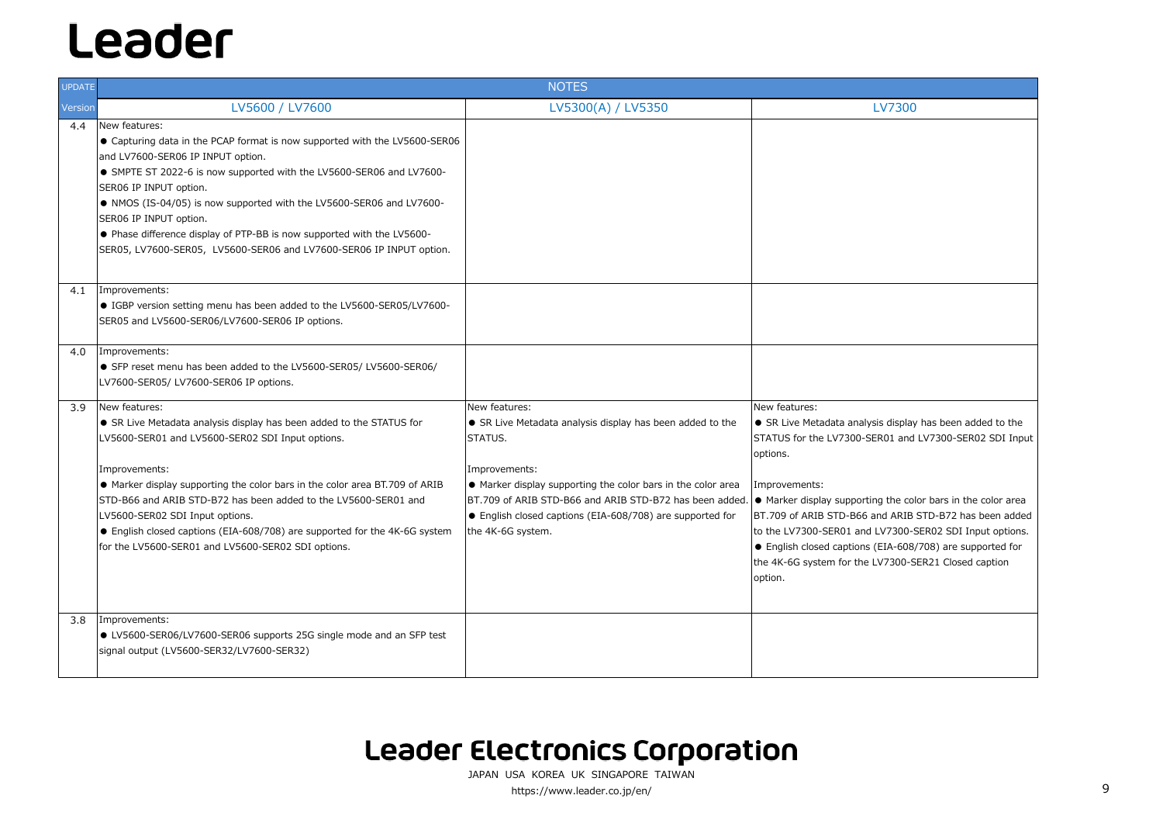| <b>UPDATE</b> |                                                                                                                                                                                                                                                                                                                                                                                                                                                                                       | <b>NOTES</b>                                                                                                                                                                                                                                                                                                                                           |                                                                                                                                                                                                                                                                                    |
|---------------|---------------------------------------------------------------------------------------------------------------------------------------------------------------------------------------------------------------------------------------------------------------------------------------------------------------------------------------------------------------------------------------------------------------------------------------------------------------------------------------|--------------------------------------------------------------------------------------------------------------------------------------------------------------------------------------------------------------------------------------------------------------------------------------------------------------------------------------------------------|------------------------------------------------------------------------------------------------------------------------------------------------------------------------------------------------------------------------------------------------------------------------------------|
| Version       | LV5600 / LV7600                                                                                                                                                                                                                                                                                                                                                                                                                                                                       | LV5300(A) / LV5350                                                                                                                                                                                                                                                                                                                                     | <b>LV7300</b>                                                                                                                                                                                                                                                                      |
| 4.4           | New features:<br>● Capturing data in the PCAP format is now supported with the LV5600-SER06<br>and LV7600-SER06 IP INPUT option.<br>• SMPTE ST 2022-6 is now supported with the LV5600-SER06 and LV7600-<br>SER06 IP INPUT option.<br>• NMOS (IS-04/05) is now supported with the LV5600-SER06 and LV7600-<br>SER06 IP INPUT option.<br>• Phase difference display of PTP-BB is now supported with the LV5600-<br>SER05, LV7600-SER05, LV5600-SER06 and LV7600-SER06 IP INPUT option. |                                                                                                                                                                                                                                                                                                                                                        |                                                                                                                                                                                                                                                                                    |
| 4.1           | Improvements:<br>• IGBP version setting menu has been added to the LV5600-SER05/LV7600-<br>SER05 and LV5600-SER06/LV7600-SER06 IP options.                                                                                                                                                                                                                                                                                                                                            |                                                                                                                                                                                                                                                                                                                                                        |                                                                                                                                                                                                                                                                                    |
| 4.0           | Improvements:<br>SFP reset menu has been added to the LV5600-SER05/ LV5600-SER06/<br>LV7600-SER05/ LV7600-SER06 IP options.                                                                                                                                                                                                                                                                                                                                                           |                                                                                                                                                                                                                                                                                                                                                        |                                                                                                                                                                                                                                                                                    |
| 3.9           | New features:<br>• SR Live Metadata analysis display has been added to the STATUS for<br>LV5600-SER01 and LV5600-SER02 SDI Input options.<br>Improvements:<br>• Marker display supporting the color bars in the color area BT.709 of ARIB<br>STD-B66 and ARIB STD-B72 has been added to the LV5600-SER01 and<br>LV5600-SER02 SDI Input options.<br>● English closed captions (EIA-608/708) are supported for the 4K-6G system<br>for the LV5600-SER01 and LV5600-SER02 SDI options.   | New features:<br>• SR Live Metadata analysis display has been added to the<br>STATUS.<br>Improvements:<br>• Marker display supporting the color bars in the color area<br>BT.709 of ARIB STD-B66 and ARIB STD-B72 has been added. • Marker display supporting the co<br>• English closed captions (EIA-608/708) are supported for<br>the 4K-6G system. | New features:<br>• SR Live Metadata analysis display<br>STATUS for the LV7300-SER01 and<br>options.<br>Improvements:<br>BT.709 of ARIB STD-B66 and ARIB<br>to the LV7300-SER01 and LV7300-9<br>• English closed captions (EIA-608,<br>the 4K-6G system for the LV7300-S<br>option. |
| 3.8           | Improvements:<br>• LV5600-SER06/LV7600-SER06 supports 25G single mode and an SFP test<br>signal output (LV5600-SER32/LV7600-SER32)                                                                                                                                                                                                                                                                                                                                                    |                                                                                                                                                                                                                                                                                                                                                        |                                                                                                                                                                                                                                                                                    |

JAPAN USA KOREA UK SINGAPORE TAIWAN https://www.leader.co.jp/en/ 9

### **Leader Electronics Corporation**

# sis display has been added to the R01 and LV7300-SER02 SDI Input ng the color bars in the color area BT.709 of ARIB STD-B66 and ARIB STD-B72 has been added LV7300-SER02 SDI Input options. (EIA-608/708) are supported for V7300-SER21 Closed caption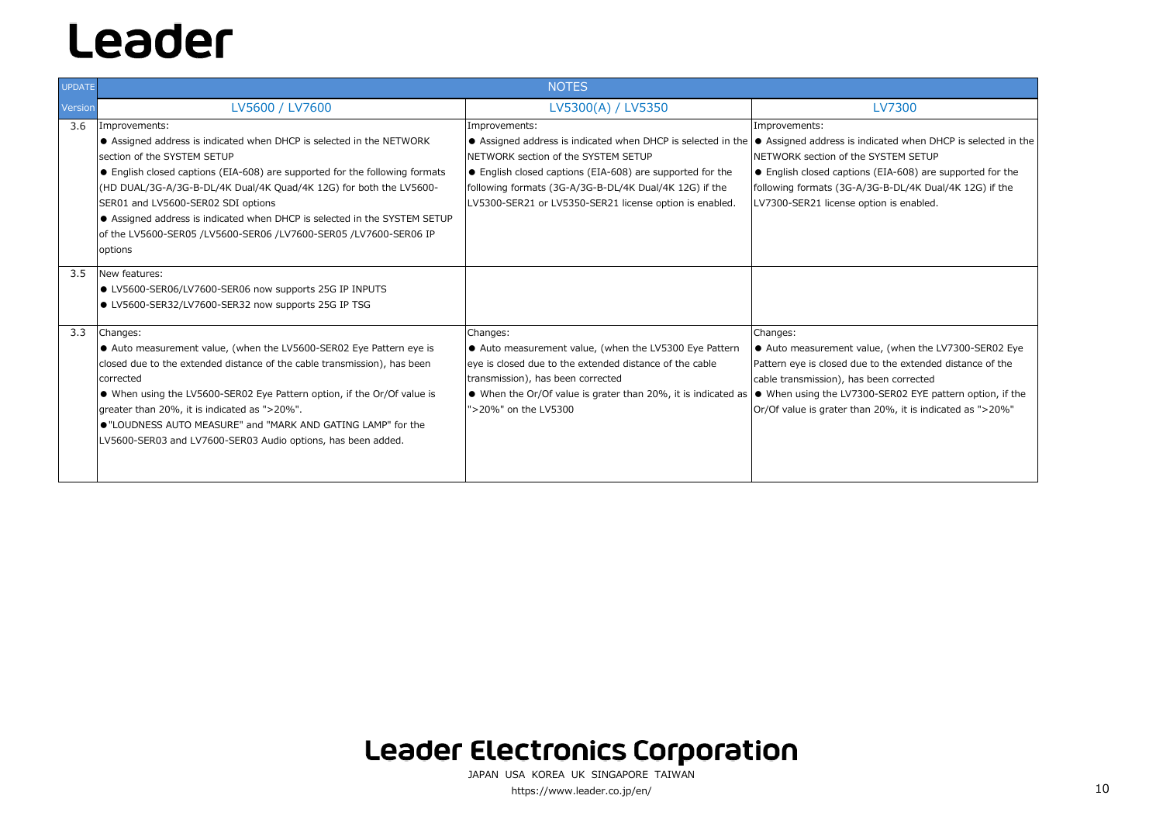| <b>UPDATE</b> | <b>NOTES</b>                                                                                                                                                                                                                                                                                                                                                                                                                                                              |                                                                                                                                                                                                                                                                                                                                                 |                                                                                                                                                                                       |
|---------------|---------------------------------------------------------------------------------------------------------------------------------------------------------------------------------------------------------------------------------------------------------------------------------------------------------------------------------------------------------------------------------------------------------------------------------------------------------------------------|-------------------------------------------------------------------------------------------------------------------------------------------------------------------------------------------------------------------------------------------------------------------------------------------------------------------------------------------------|---------------------------------------------------------------------------------------------------------------------------------------------------------------------------------------|
| Version       | LV5600 / LV7600                                                                                                                                                                                                                                                                                                                                                                                                                                                           | LV5300(A) / LV5350                                                                                                                                                                                                                                                                                                                              | <b>LV7300</b>                                                                                                                                                                         |
| 3.6           | Improvements:<br>● Assigned address is indicated when DHCP is selected in the NETWORK<br>section of the SYSTEM SETUP<br>• English closed captions (EIA-608) are supported for the following formats<br>(HD DUAL/3G-A/3G-B-DL/4K Dual/4K Quad/4K 12G) for both the LV5600-<br>SER01 and LV5600-SER02 SDI options<br>Assigned address is indicated when DHCP is selected in the SYSTEM SETUP<br>of the LV5600-SER05 /LV5600-SER06 /LV7600-SER05 /LV7600-SER06 IP<br>options | Improvements:<br>● Assigned address is indicated when DHCP is selected in the  ● Assigned address is indicated when DI<br>NETWORK section of the SYSTEM SETUP<br>• English closed captions (EIA-608) are supported for the<br>following formats (3G-A/3G-B-DL/4K Dual/4K 12G) if the<br>LV5300-SER21 or LV5350-SER21 license option is enabled. | Improvements:<br>NETWORK section of the SYSTEM SETUP<br>● English closed captions (EIA-608) are<br>following formats (3G-A/3G-B-DL/4K Du<br>LV7300-SER21 license option is enabled.   |
| 3.5           | New features:<br>● LV5600-SER06/LV7600-SER06 now supports 25G IP INPUTS<br>● LV5600-SER32/LV7600-SER32 now supports 25G IP TSG                                                                                                                                                                                                                                                                                                                                            |                                                                                                                                                                                                                                                                                                                                                 |                                                                                                                                                                                       |
| 3.3           | Changes:<br>• Auto measurement value, (when the LV5600-SER02 Eye Pattern eye is<br>closed due to the extended distance of the cable transmission), has been<br>corrected<br>• When using the LV5600-SER02 Eye Pattern option, if the Or/Of value is<br>greater than 20%, it is indicated as ">20%".<br>. "LOUDNESS AUTO MEASURE" and "MARK AND GATING LAMP" for the<br>LV5600-SER03 and LV7600-SER03 Audio options, has been added.                                       | Changes:<br>• Auto measurement value, (when the LV5300 Eye Pattern<br>eye is closed due to the extended distance of the cable<br>transmission), has been corrected<br>$\bullet$ When the Or/Of value is grater than 20%, it is indicated as $\bullet$ When using the LV7300-SER02 EYE p<br>">20%" on the LV5300                                 | Changes:<br>• Auto measurement value, (when the<br>Pattern eye is closed due to the extende<br>cable transmission), has been corrected<br>Or/Of value is grater than 20%, it is indi- |

### **Leader Electronics Corporation**

- cated when DHCP is selected in the
- (EIA-608) are supported for the
- G-B-DL/4K Dual/4K 12G) if the ion is enabled.

- e, (when the LV7300-SER02 Eye the extended distance of the een corrected
- -SER02 EYE pattern option, if the  $20\%$ , it is indicated as ">20%"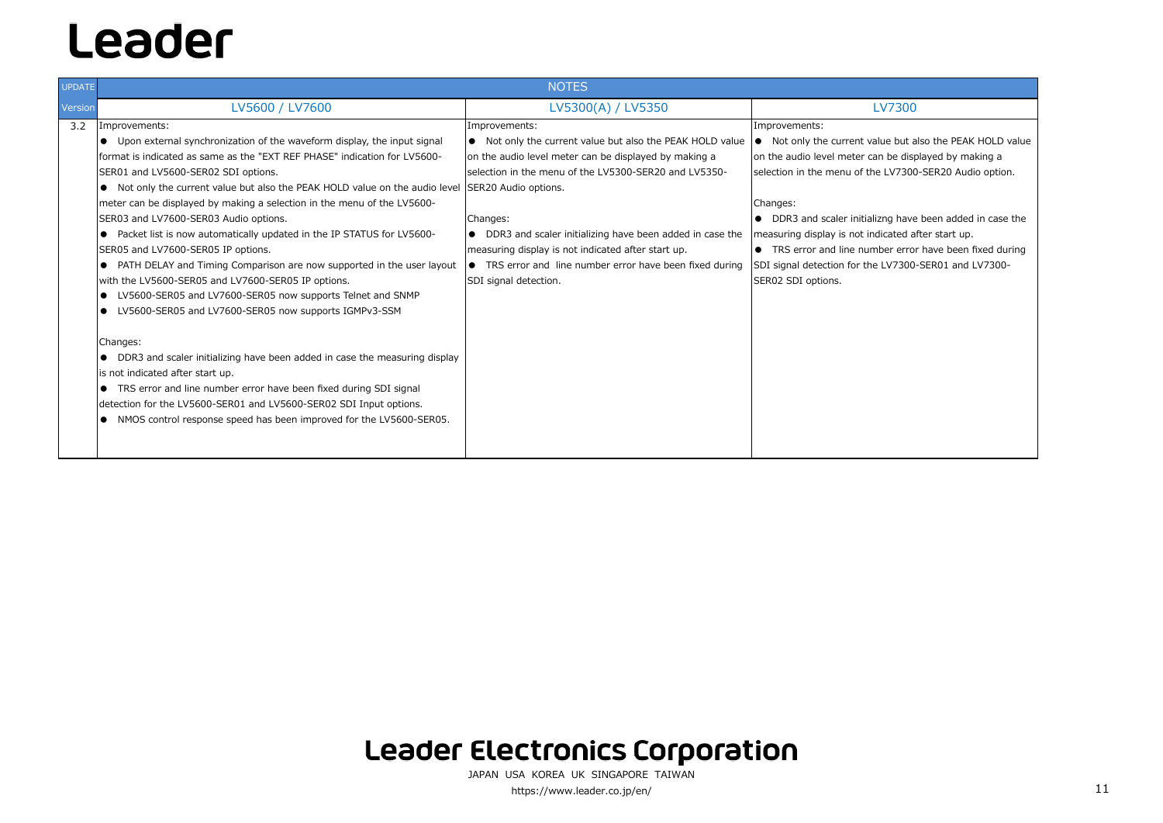| <b>UPDATE</b> | <b>NOTES</b>                                                                                                                                                                                                                                                                                                                                                                                                                                                                                                                                                                                                                                                                                                                                                                                                                                                                                                                                                                                                                                                                                                                                                             |                                                                                                                                                                                                                                                                                                                                                                                                                   |                                                                                                                                                                                                                                                                                                                                       |
|---------------|--------------------------------------------------------------------------------------------------------------------------------------------------------------------------------------------------------------------------------------------------------------------------------------------------------------------------------------------------------------------------------------------------------------------------------------------------------------------------------------------------------------------------------------------------------------------------------------------------------------------------------------------------------------------------------------------------------------------------------------------------------------------------------------------------------------------------------------------------------------------------------------------------------------------------------------------------------------------------------------------------------------------------------------------------------------------------------------------------------------------------------------------------------------------------|-------------------------------------------------------------------------------------------------------------------------------------------------------------------------------------------------------------------------------------------------------------------------------------------------------------------------------------------------------------------------------------------------------------------|---------------------------------------------------------------------------------------------------------------------------------------------------------------------------------------------------------------------------------------------------------------------------------------------------------------------------------------|
| Version       | LV5600 / LV7600                                                                                                                                                                                                                                                                                                                                                                                                                                                                                                                                                                                                                                                                                                                                                                                                                                                                                                                                                                                                                                                                                                                                                          | LV5300(A) / LV5350                                                                                                                                                                                                                                                                                                                                                                                                | <b>LV7300</b>                                                                                                                                                                                                                                                                                                                         |
| 3.2           | Improvements:<br>• Upon external synchronization of the waveform display, the input signal<br>format is indicated as same as the "EXT REF PHASE" indication for LV5600-<br>SER01 and LV5600-SER02 SDI options.<br>• Not only the current value but also the PEAK HOLD value on the audio level SER20 Audio options.<br>meter can be displayed by making a selection in the menu of the LV5600-<br>SER03 and LV7600-SER03 Audio options.<br>• Packet list is now automatically updated in the IP STATUS for LV5600-<br>SER05 and LV7600-SER05 IP options.<br>• PATH DELAY and Timing Comparison are now supported in the user layout<br>with the LV5600-SER05 and LV7600-SER05 IP options.<br>LV5600-SER05 and LV7600-SER05 now supports Telnet and SNMP<br>• LV5600-SER05 and LV7600-SER05 now supports IGMPv3-SSM<br>Changes:<br>• DDR3 and scaler initializing have been added in case the measuring display<br>is not indicated after start up.<br>• TRS error and line number error have been fixed during SDI signal<br>detection for the LV5600-SER01 and LV5600-SER02 SDI Input options.<br>• NMOS control response speed has been improved for the LV5600-SER05. | Improvements:<br>• Not only the current value but also the PEAK HOLD value<br>on the audio level meter can be displayed by making a<br>selection in the menu of the LV5300-SER20 and LV5350-<br>Changes:<br>• DDR3 and scaler initializing have been added in case the<br>measuring display is not indicated after start up.<br>• TRS error and line number error have been fixed during<br>SDI signal detection. | Improvements:<br>$\bullet$ Not only the current value but a<br>on the audio level meter can be disp<br>selection in the menu of the LV7300<br>Changes:<br>• DDR3 and scaler initializng have<br>measuring display is not indicated a<br>● TRS error and line number erro<br>SDI signal detection for the LV7300<br>SER02 SDI options. |

JAPAN USA KOREA UK SINGAPORE TAIWAN https://www.leader.co.jp/en/ 11

### **Leader Electronics Corporation**

alue but also the PEAK HOLD value can be displayed by making a he LV7300-SER20 Audio option.

lizng have been added in case the ndicated after start up.

mber error have been fixed during e LV7300-SER01 and LV7300-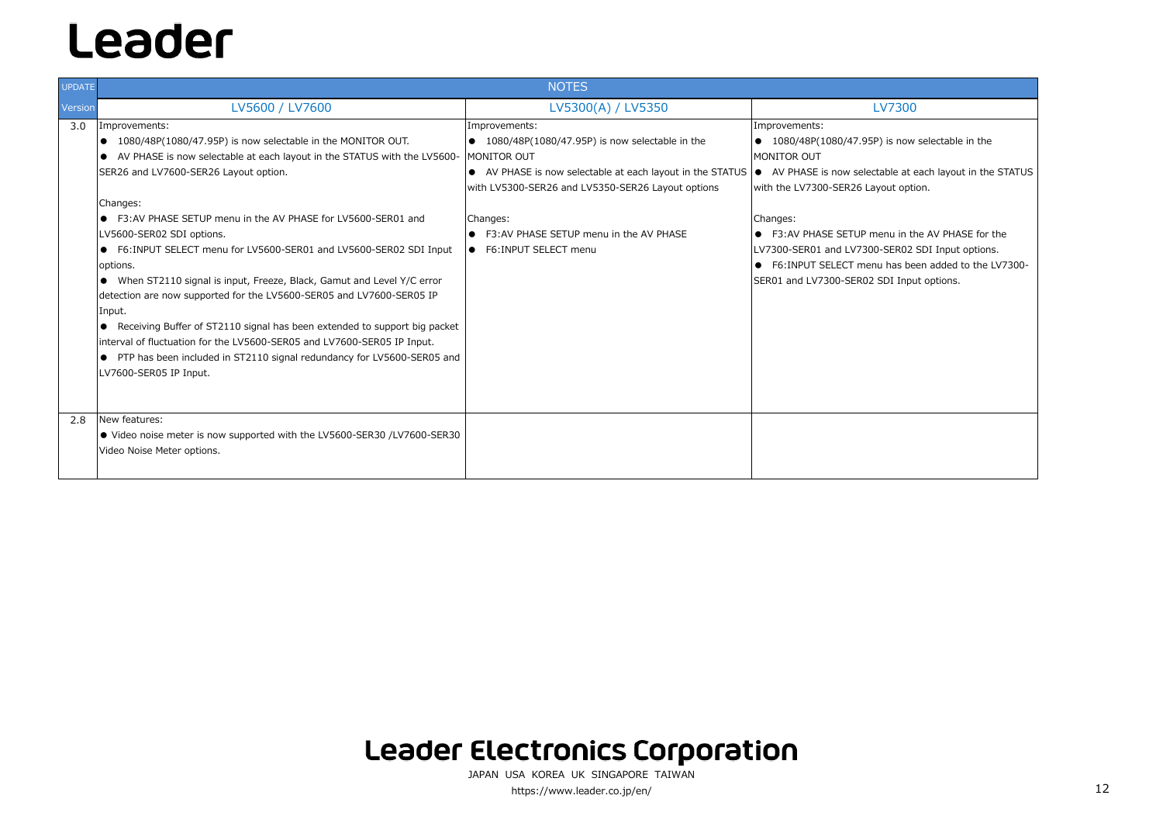● F3:AV PHASE SETUP menu in the AV PHASE for the 0-SER02 SDI Input options. ● F6:INPUT SELECT menu has been added to the LV7300- SDI Input options.

## Leader

| <b>UPDATE</b> | <b>NOTES</b>                                                                                                                                                                                                                                                                                                                                                                                                                                                                                                                                                                                                                                                                                                                                                                                                                                      |                                                                                                                                                                                                                                                                                               |                                                                                                                                                                                                                                                                                              |
|---------------|---------------------------------------------------------------------------------------------------------------------------------------------------------------------------------------------------------------------------------------------------------------------------------------------------------------------------------------------------------------------------------------------------------------------------------------------------------------------------------------------------------------------------------------------------------------------------------------------------------------------------------------------------------------------------------------------------------------------------------------------------------------------------------------------------------------------------------------------------|-----------------------------------------------------------------------------------------------------------------------------------------------------------------------------------------------------------------------------------------------------------------------------------------------|----------------------------------------------------------------------------------------------------------------------------------------------------------------------------------------------------------------------------------------------------------------------------------------------|
| Version       | LV5600 / LV7600                                                                                                                                                                                                                                                                                                                                                                                                                                                                                                                                                                                                                                                                                                                                                                                                                                   | LV5300(A) / LV5350                                                                                                                                                                                                                                                                            | <b>LV7300</b>                                                                                                                                                                                                                                                                                |
| 3.0           | Improvements:<br>$\bullet$ 1080/48P(1080/47.95P) is now selectable in the MONITOR OUT.<br>• AV PHASE is now selectable at each layout in the STATUS with the LV5600-<br>SER26 and LV7600-SER26 Layout option.<br>Changes:<br>• F3:AV PHASE SETUP menu in the AV PHASE for LV5600-SER01 and<br>LV5600-SER02 SDI options.<br>• F6:INPUT SELECT menu for LV5600-SER01 and LV5600-SER02 SDI Input<br>options.<br>• When ST2110 signal is input, Freeze, Black, Gamut and Level Y/C error<br>detection are now supported for the LV5600-SER05 and LV7600-SER05 IP<br>Input.<br>Receiving Buffer of ST2110 signal has been extended to support big packet<br>$\bullet$<br>interval of fluctuation for the LV5600-SER05 and LV7600-SER05 IP Input.<br>• PTP has been included in ST2110 signal redundancy for LV5600-SER05 and<br>LV7600-SER05 IP Input. | Improvements:<br>$\bullet$ 1080/48P(1080/47.95P) is now selectable in the<br>MONITOR OUT<br>• AV PHASE is now selectable at each layout in the STATUS<br>with LV5300-SER26 and LV5350-SER26 Layout options<br>Changes:<br>• F3:AV PHASE SETUP menu in the AV PHASE<br>• F6: INPUT SELECT menu | Improvements:<br>● 1080/48P(1080/47.95P) is now<br>MONITOR OUT<br>● AV PHASE is now selectable at e<br>with the LV7300-SER26 Layout opti<br>Changes:<br>• F3:AV PHASE SETUP menu in th<br>LV7300-SER01 and LV7300-SER02<br>• F6: INPUT SELECT menu has be<br>SER01 and LV7300-SER02 SDI Inpu |
| 2.8           | New features:<br>● Video noise meter is now supported with the LV5600-SER30 /LV7600-SER30<br>Video Noise Meter options.                                                                                                                                                                                                                                                                                                                                                                                                                                                                                                                                                                                                                                                                                                                           |                                                                                                                                                                                                                                                                                               |                                                                                                                                                                                                                                                                                              |

JAPAN USA KOREA UK SINGAPORE TAIWAN https://www.leader.co.jp/en/ 12

### **Leader Electronics Corporation**

P) is now selectable in the

table at each layout in the STATUS yout option.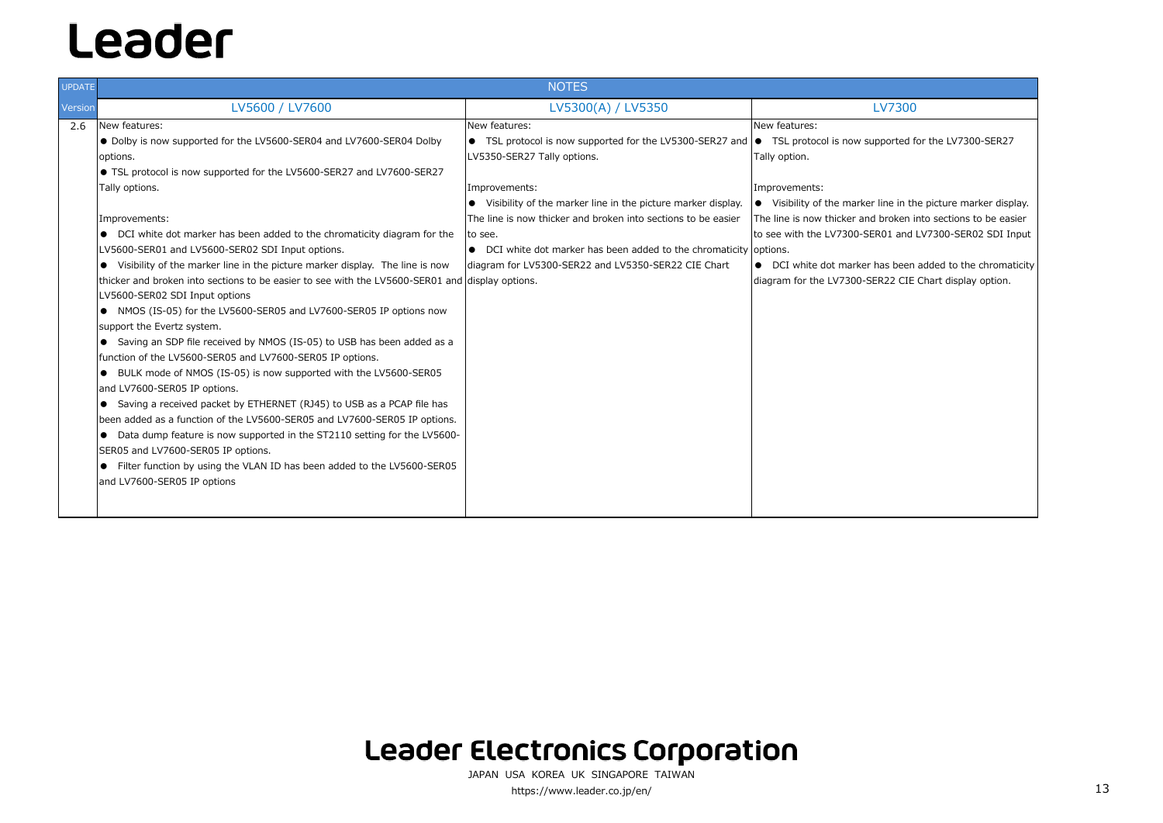| <b>UPDATE</b> | <b>NOTES</b>                                                                                                                                                                                                                                                                                                                                                                                                                                                                                                                                                                                                                                                                                                                                                                                                                                                                                                                                                                                                                                                                                                                                                                                                                                                                                                                 |                                                                                                                                                                                                                                                                                                                                                                                                                                                |                                                                                                                                                                                                                                             |
|---------------|------------------------------------------------------------------------------------------------------------------------------------------------------------------------------------------------------------------------------------------------------------------------------------------------------------------------------------------------------------------------------------------------------------------------------------------------------------------------------------------------------------------------------------------------------------------------------------------------------------------------------------------------------------------------------------------------------------------------------------------------------------------------------------------------------------------------------------------------------------------------------------------------------------------------------------------------------------------------------------------------------------------------------------------------------------------------------------------------------------------------------------------------------------------------------------------------------------------------------------------------------------------------------------------------------------------------------|------------------------------------------------------------------------------------------------------------------------------------------------------------------------------------------------------------------------------------------------------------------------------------------------------------------------------------------------------------------------------------------------------------------------------------------------|---------------------------------------------------------------------------------------------------------------------------------------------------------------------------------------------------------------------------------------------|
| Version       | LV5600 / LV7600                                                                                                                                                                                                                                                                                                                                                                                                                                                                                                                                                                                                                                                                                                                                                                                                                                                                                                                                                                                                                                                                                                                                                                                                                                                                                                              | LV5300(A) / LV5350                                                                                                                                                                                                                                                                                                                                                                                                                             | <b>LV7300</b>                                                                                                                                                                                                                               |
| 2.6           | New features:<br>• Dolby is now supported for the LV5600-SER04 and LV7600-SER04 Dolby<br>options.<br>• TSL protocol is now supported for the LV5600-SER27 and LV7600-SER27<br>Tally options.<br>Improvements:<br>• DCI white dot marker has been added to the chromaticity diagram for the<br>LV5600-SER01 and LV5600-SER02 SDI Input options.<br>• Visibility of the marker line in the picture marker display. The line is now<br>thicker and broken into sections to be easier to see with the LV5600-SER01 and display options.<br>LV5600-SER02 SDI Input options<br>• NMOS (IS-05) for the LV5600-SER05 and LV7600-SER05 IP options now<br>support the Evertz system.<br>• Saving an SDP file received by NMOS (IS-05) to USB has been added as a<br>function of the LV5600-SER05 and LV7600-SER05 IP options.<br>• BULK mode of NMOS (IS-05) is now supported with the LV5600-SER05<br>and LV7600-SER05 IP options.<br>• Saving a received packet by ETHERNET (RJ45) to USB as a PCAP file has<br>been added as a function of the LV5600-SER05 and LV7600-SER05 IP options.<br>Data dump feature is now supported in the ST2110 setting for the LV5600-<br>$\bullet$<br>SER05 and LV7600-SER05 IP options.<br>• Filter function by using the VLAN ID has been added to the LV5600-SER05<br>and LV7600-SER05 IP options | New features:<br>• TSL protocol is now supported for the LV5300-SER27 and $\bullet$ TSL protocol is now supported f<br>LV5350-SER27 Tally options.<br>Improvements:<br>• Visibility of the marker line in the picture marker display.<br>The line is now thicker and broken into sections to be easier<br>to see.<br>• DCI white dot marker has been added to the chromaticity options.<br>diagram for LV5300-SER22 and LV5350-SER22 CIE Chart | New features:<br>Tally option.<br>Improvements:<br>● Visibility of the marker line in th<br>The line is now thicker and broken i<br>to see with the LV7300-SER01 and<br>• DCI white dot marker has been<br>diagram for the LV7300-SER22 CIE |

### **Leader Electronics Corporation**

JAPAN USA KOREA UK SINGAPORE TAIWANhttps://www.leader.co.jp/en/ 13

pported for the LV7300-SER27

line in the picture marker display. The line is now thicker and broken into sections to be easier R01 and LV7300-SER02 SDI Input

> has been added to the chromaticity ER22 CIE Chart display option.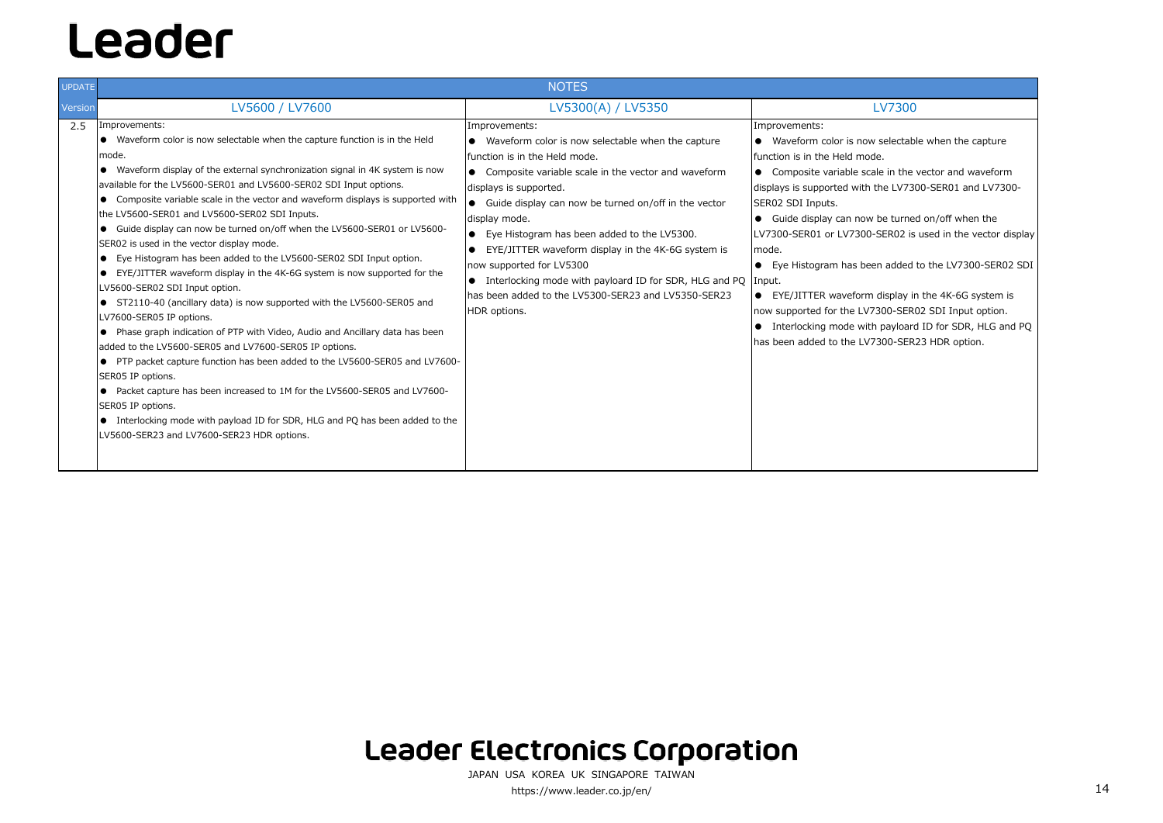| <b>UPDATE</b> | <b>NOTES</b>                                                                                                                                                                                                                                                                                                                                                                                                                                                                                                                                                                                                                                                                                                                                                                                                                                                                                                                                                                                                                                                                                                                                                                                                                                                                                                 |                                                                                                                                                                                                                                                                                                                                                                                                                                                                                                                                                           |                                                                                                                                                                                                                                                                                                                                                                                                                                                                               |
|---------------|--------------------------------------------------------------------------------------------------------------------------------------------------------------------------------------------------------------------------------------------------------------------------------------------------------------------------------------------------------------------------------------------------------------------------------------------------------------------------------------------------------------------------------------------------------------------------------------------------------------------------------------------------------------------------------------------------------------------------------------------------------------------------------------------------------------------------------------------------------------------------------------------------------------------------------------------------------------------------------------------------------------------------------------------------------------------------------------------------------------------------------------------------------------------------------------------------------------------------------------------------------------------------------------------------------------|-----------------------------------------------------------------------------------------------------------------------------------------------------------------------------------------------------------------------------------------------------------------------------------------------------------------------------------------------------------------------------------------------------------------------------------------------------------------------------------------------------------------------------------------------------------|-------------------------------------------------------------------------------------------------------------------------------------------------------------------------------------------------------------------------------------------------------------------------------------------------------------------------------------------------------------------------------------------------------------------------------------------------------------------------------|
| Version       | LV5600 / LV7600                                                                                                                                                                                                                                                                                                                                                                                                                                                                                                                                                                                                                                                                                                                                                                                                                                                                                                                                                                                                                                                                                                                                                                                                                                                                                              | LV5300(A) / LV5350                                                                                                                                                                                                                                                                                                                                                                                                                                                                                                                                        | <b>LV7300</b>                                                                                                                                                                                                                                                                                                                                                                                                                                                                 |
| 2.5           | Improvements:<br>• Waveform color is now selectable when the capture function is in the Held<br>mode.<br>• Waveform display of the external synchronization signal in 4K system is now<br>available for the LV5600-SER01 and LV5600-SER02 SDI Input options.<br>• Composite variable scale in the vector and waveform displays is supported with<br>the LV5600-SER01 and LV5600-SER02 SDI Inputs.<br>• Guide display can now be turned on/off when the LV5600-SER01 or LV5600-<br>SER02 is used in the vector display mode.<br>• Eye Histogram has been added to the LV5600-SER02 SDI Input option.<br>• EYE/JITTER waveform display in the 4K-6G system is now supported for the<br>LV5600-SER02 SDI Input option.<br>• ST2110-40 (ancillary data) is now supported with the LV5600-SER05 and<br>LV7600-SER05 IP options.<br>• Phase graph indication of PTP with Video, Audio and Ancillary data has been<br>added to the LV5600-SER05 and LV7600-SER05 IP options.<br>● PTP packet capture function has been added to the LV5600-SER05 and LV7600-<br>SER05 IP options.<br>● Packet capture has been increased to 1M for the LV5600-SER05 and LV7600-<br>SER05 IP options.<br>• Interlocking mode with payload ID for SDR, HLG and PQ has been added to the<br>LV5600-SER23 and LV7600-SER23 HDR options. | Improvements:<br>• Waveform color is now selectable when the capture<br>Ifunction is in the Held mode.<br>• Composite variable scale in the vector and waveform<br>displays is supported.<br>• Guide display can now be turned on/off in the vector<br>display mode.<br>• Eye Histogram has been added to the LV5300.<br>EYE/JITTER waveform display in the 4K-6G system is<br>now supported for LV5300<br>$\bullet$ Interlocking mode with payloard ID for SDR, HLG and PQ Input.<br>has been added to the LV5300-SER23 and LV5350-SER23<br>HDR options. | Improvements:<br>• Waveform color is now selectab<br>function is in the Held mode.<br>• Composite variable scale in the<br>displays is supported with the LV73<br>SER02 SDI Inputs.<br>Guide display can now be turne<br>$\bullet$<br>LV7300-SER01 or LV7300-SER02 is<br>Imode.<br>• Eye Histogram has been added<br>EYE/JITTER waveform display in<br>$\bullet$<br>now supported for the LV7300-SER<br>• Interlocking mode with payloard<br>has been added to the LV7300-SER |

### **Leader Electronics Corporation**

- selectable when the capture
- e in the vector and waveform he LV7300-SER01 and LV7300-
- be turned on/off when the SER02 is used in the vector display
- added to the LV7300-SER02 SDI
- display in the 4K-6G system is 300-SER02 SDI Input option. payloard ID for SDR, HLG and PQ 300-SER23 HDR option.